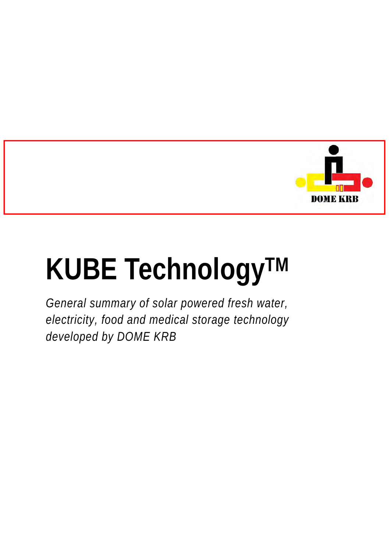

# **KUBE TechnologyTM**

*General summary of solar powered fresh water, electricity, food and medical storage technology developed by DOME KRB*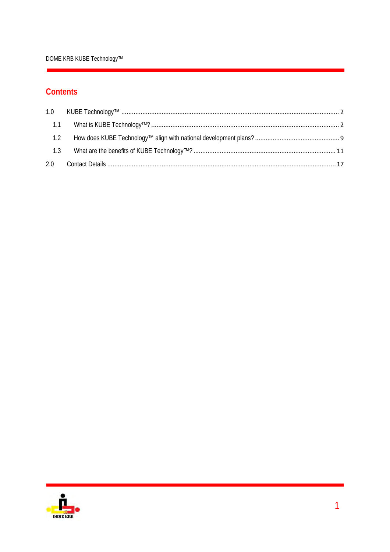# **Contents**

| 1.2 |  |
|-----|--|
| 1.3 |  |
|     |  |

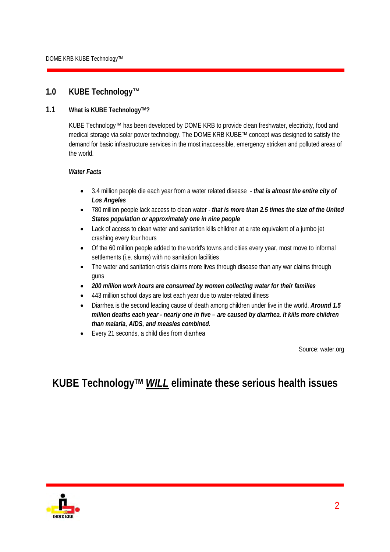# **1.0 KUBE Technology™**

# **1.1 What is KUBE TechnologyTM?**

KUBE Technology™ has been developed by DOME KRB to provide clean freshwater, electricity, food and medical storage via solar power technology. The DOME KRB KUBE™ concept was designed to satisfy the demand for basic infrastructure services in the most inaccessible, emergency stricken and polluted areas of the world.

## *Water Facts*

- 3.4 million people die each year from a water related disease *that is almost the entire city of Los Angeles*
- 780 million people lack access to clean water *that is more than 2.5 times the size of the United States population or approximately one in nine people*
- Lack of access to clean water and sanitation kills children at a rate equivalent of a jumbo jet crashing every four hours
- Of the 60 million people added to the world's towns and cities every year, most move to informal settlements (i.e. slums) with no sanitation facilities
- The water and sanitation crisis claims more lives through disease than any war claims through guns
- *200 million work hours are consumed by women collecting water for their families*
- 443 million school days are lost each year due to water-related illness
- Diarrhea is the second leading cause of death among children under five in the world. *Around 1.5 million deaths each year - nearly one in five – are caused by diarrhea. It kills more children than malaria, AIDS, and measles combined.*
- Every 21 seconds, a child dies from diarrhea

Source: water.org

# **KUBE TechnologyTM** *WILL* **eliminate these serious health issues**

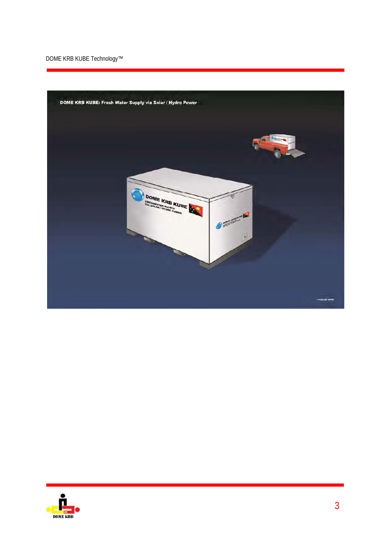# DOME KRB KUBE Technology™



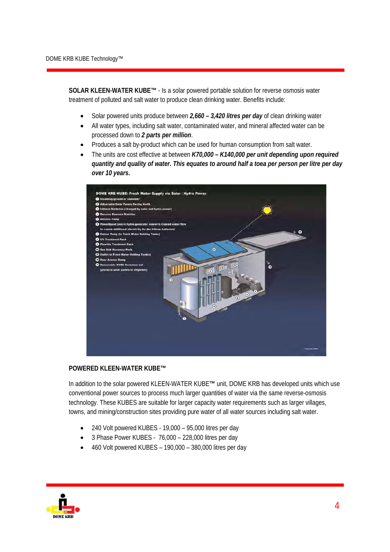**SOLAR KLEEN-WATER KUBE™** - Is a solar powered portable solution for reverse osmosis water treatment of polluted and salt water to produce clean drinking water. Benefits include:

- Solar powered units produce between *2,660 3,420 litres per day* of clean drinking water
- All water types, including salt water, contaminated water, and mineral affected water can be processed down to *2 parts per million*.
- Produces a salt by-product which can be used for human consumption from salt water.
- The units are cost effective at between *K70,000 K140,000 per unit depending upon required quantity and quality of water. This equates to around half a toea per person per litre per day over 10 years.*



#### **POWERED KLEEN-WATER KUBE™**

In addition to the solar powered KLEEN-WATER KUBE**™** unit, DOME KRB has developed units which use conventional power sources to process much larger quantities of water via the same reverse-osmosis technology. These KUBES are suitable for larger capacity water requirements such as larger villages, towns, and mining/construction sites providing pure water of all water sources including salt water.

- 240 Volt powered KUBES 19,000 95,000 litres per day
- 3 Phase Power KUBES 76,000 228,000 litres per day
- 460 Volt powered KUBES 190,000 380,000 litres per day

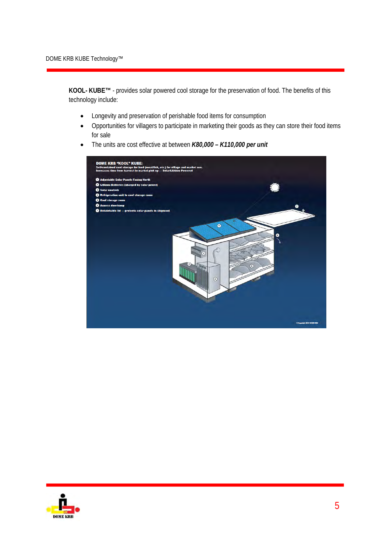**KOOL- KUBE™** - provides solar powered cool storage for the preservation of food. The benefits of this technology include:

- Longevity and preservation of perishable food items for consumption
- Opportunities for villagers to participate in marketing their goods as they can store their food items for sale
- The units are cost effective at between *K80,000 K110,000 per unit*



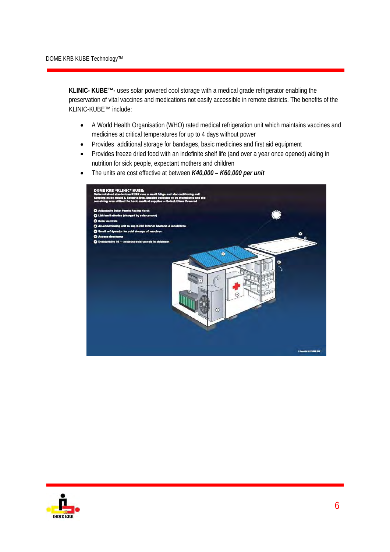**KLINIC- KUBE™-** uses solar powered cool storage with a medical grade refrigerator enabling the preservation of vital vaccines and medications not easily accessible in remote districts. The benefits of the KLINIC-KUBE™ include:

- A World Health Organisation (WHO) rated medical refrigeration unit which maintains vaccines and medicines at critical temperatures for up to 4 days without power
- Providesadditional storage for bandages, basic medicines and first aid equipment
- Provides freeze dried food with an indefinite shelf life (and over a year once opened) aiding in nutrition for sick people, expectant mothers and children
- The units are cost effective at between *K40,000 K60,000 per unit*



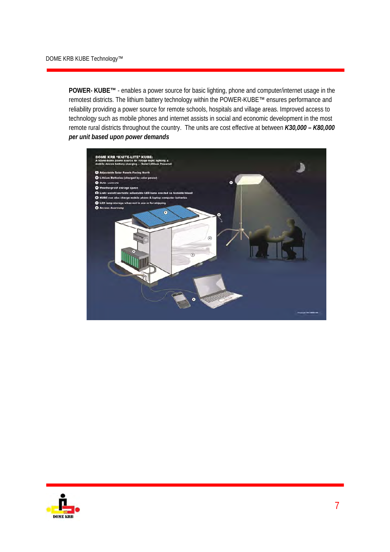**POWER- KUBE™** - enables a power source for basic lighting, phone and computer/internet usage in the remotest districts. The lithium battery technology within the POWER-KUBE™ ensures performance and reliability providing a power source for remote schools, hospitals and village areas. Improved access to technology such as mobile phones and internet assists in social and economic development in the most remote rural districts throughout the country. The units are cost effective at between *K30,000 – K80,000 per unit based upon power demands*



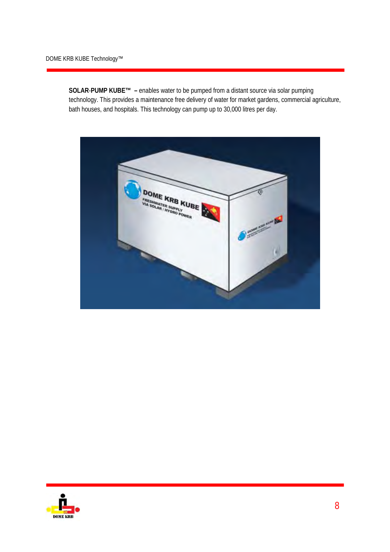**SOLAR**-**PUMP KUBE™ –** enables water to be pumped from a distant source via solar pumping technology. This provides a maintenance free delivery of water for market gardens, commercial agriculture, bath houses, and hospitals. This technology can pump up to 30,000 litres per day.



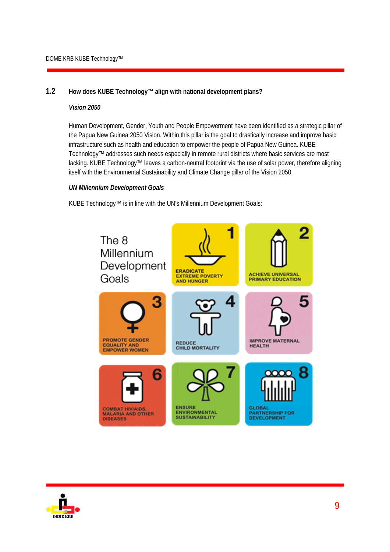# **1.2 How does KUBE Technology™ align with national development plans?**

#### *Vision 2050*

Human Development, Gender, Youth and People Empowerment have been identified as a strategic pillar of the Papua New Guinea 2050 Vision. Within this pillar is the goal to drastically increase and improve basic infrastructure such as health and education to empower the people of Papua New Guinea. KUBE Technology™ addresses such needs especially in remote rural districts where basic services are most lacking. KUBE Technology™ leaves a carbon-neutral footprint via the use of solar power, therefore aligning itself with the Environmental Sustainability and Climate Change pillar of the Vision 2050.

#### *UN Millennium Development Goals*

KUBE Technology™ is in line with the UN's Millennium Development Goals:



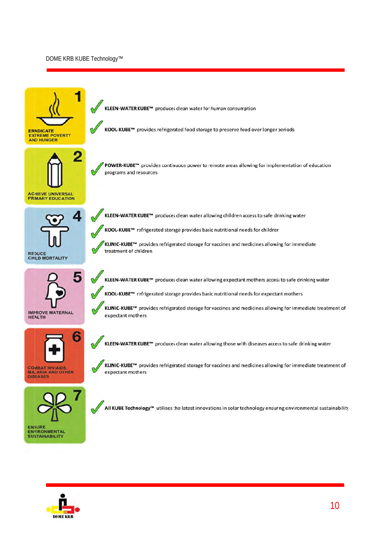#### DOME KRB KUBE Technology™





POWER-KUBE™ provides continuous power to remote areas allowing for implementation of education

KOOL-KUBE™ provides refrigerated food storage to preserve food over longer periods

KLEEN-WATER KUBE™ produces clean water for human consumption

programs and resources

expectant mothers





KLEEN-WATER KUBE™ produces clean water allowing children access to safe drinking water KOOL-KUBE™ refrigerated storage provides basic nutritional needs for children

/<br>KLINIC-KUBE™ provides refrigerated storage for vaccines and medicines allowing for immediate treatment of children

KOOL-KUBE™ refrigerated storage provides basic nutritional needs for expectant mothers



KLEEN-WATER KUBE™ produces clean water allowing those with diseases access to safe drinking water

KLEEN-WATER KUBE™ produces clean water allowing expectant mothers access to safe drinking water

KLINIC-KUBE™ provides refrigerated storage for vaccines and medicines allowing for immediate treatment of

COMBAT HIVAIDS,<br>MALARIA AND OTHER<br>DISEASES







All KUBE Technology<sup>™</sup> utilises the latest innovations in solar technology ensuring environmental sustainability

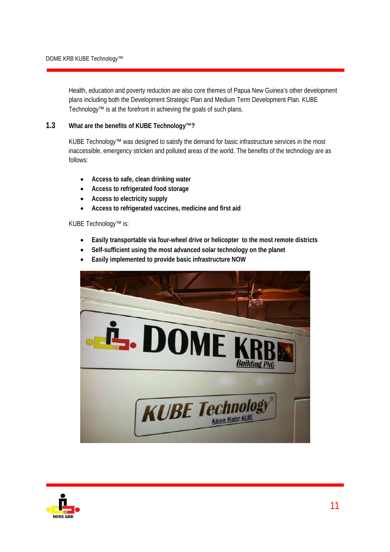Health, education and poverty reduction are also core themes of Papua New Guinea's other development plans including both the Development Strategic Plan and Medium Term Development Plan. KUBE Technology™ is at the forefront in achieving the goals of such plans.

# **1.3 What are the benefits of KUBE Technology™?**

KUBE Technology™ was designed to satisfy the demand for basic infrastructure services in the most inaccessible, emergency stricken and polluted areas of the world. The benefits of the technology are as follows:

- **Access to safe, clean drinking water**
- **Access to refrigerated food storage**
- **Access to electricity supply**
- **Access to refrigerated vaccines, medicine and first aid**

# KUBE Technology™ is:

- **Easily transportable via four-wheel drive or helicopter to the most remote districts**
- **Self-sufficient using the most advanced solar technology on the planet**
- **Easily implemented to provide basic infrastructure NOW**



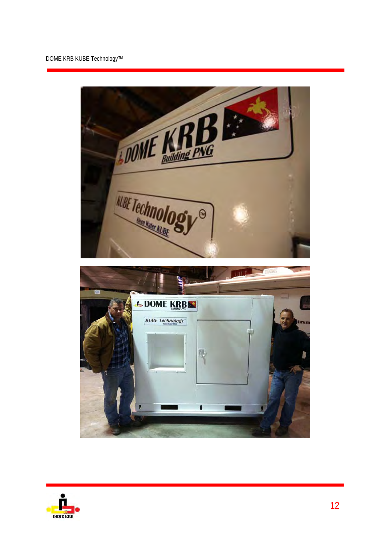

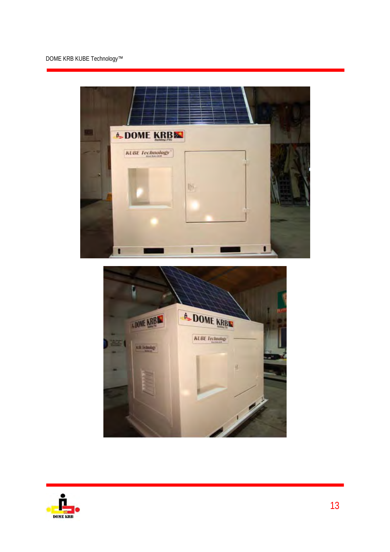



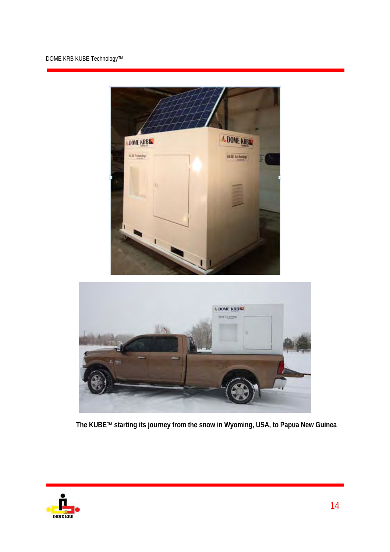

**The KUBE™ starting its journey from the snow in Wyoming, USA, to Papua New Guinea** 

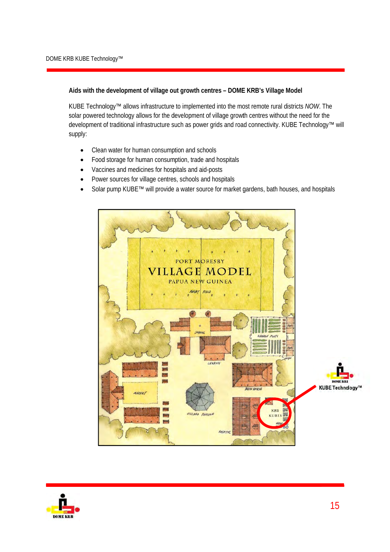### Aids with the development of village out growth centres - DOME KRB's Village Model

KUBE Technology™ allows infrastructure to implemented into the most remote rural districts NOW. The solar powered technology allows for the development of village growth centres without the need for the development of traditional infrastructure such as power grids and road connectivity. KUBE Technology™ will supply:

- Clean water for human consumption and schools  $\bullet$
- Food storage for human consumption, trade and hospitals  $\bullet$
- Vaccines and medicines for hospitals and aid-posts  $\bullet$
- Power sources for village centres, schools and hospitals  $\bullet$
- Solar pump KUBE™ will provide a water source for market gardens, bath houses, and hospitals  $\bullet$



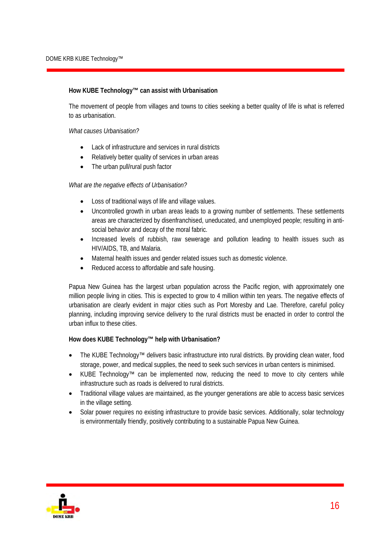### **How KUBE Technology™ can assist with Urbanisation**

The movement of people from villages and towns to cities seeking a better quality of life is what is referred to as urbanisation.

#### *What causes Urbanisation?*

- Lack of infrastructure and services in rural districts
- Relatively better quality of services in urban areas
- The urban pull/rural push factor

#### *What are the negative effects of Urbanisation?*

- Loss of traditional ways of life and village values.
- Uncontrolled growth in urban areas leads to a growing number of settlements. These settlements areas are characterized by disenfranchised, uneducated, and unemployed people; resulting in antisocial behavior and decay of the moral fabric.
- Increased levels of rubbish, raw sewerage and pollution leading to health issues such as HIV/AIDS, TB, and Malaria.
- Maternal health issues and gender related issues such as domestic violence.
- Reduced access to affordable and safe housing.

Papua New Guinea has the largest urban population across the Pacific region, with approximately one million people living in cities. This is expected to grow to 4 million within ten years. The negative effects of urbanisation are clearly evident in major cities such as Port Moresby and Lae. Therefore, careful policy planning, including improving service delivery to the rural districts must be enacted in order to control the urban influx to these cities.

#### **How does KUBE Technology™ help with Urbanisation?**

- The KUBE Technology™ delivers basic infrastructure into rural districts. By providing clean water, food storage, power, and medical supplies, the need to seek such services in urban centers is minimised.
- KUBE Technology™ can be implemented now, reducing the need to move to city centers while infrastructure such as roads is delivered to rural districts.
- Traditional village values are maintained, as the younger generations are able to access basic services in the village setting.
- Solar power requires no existing infrastructure to provide basic services. Additionally, solar technology is environmentally friendly, positively contributing to a sustainable Papua New Guinea.